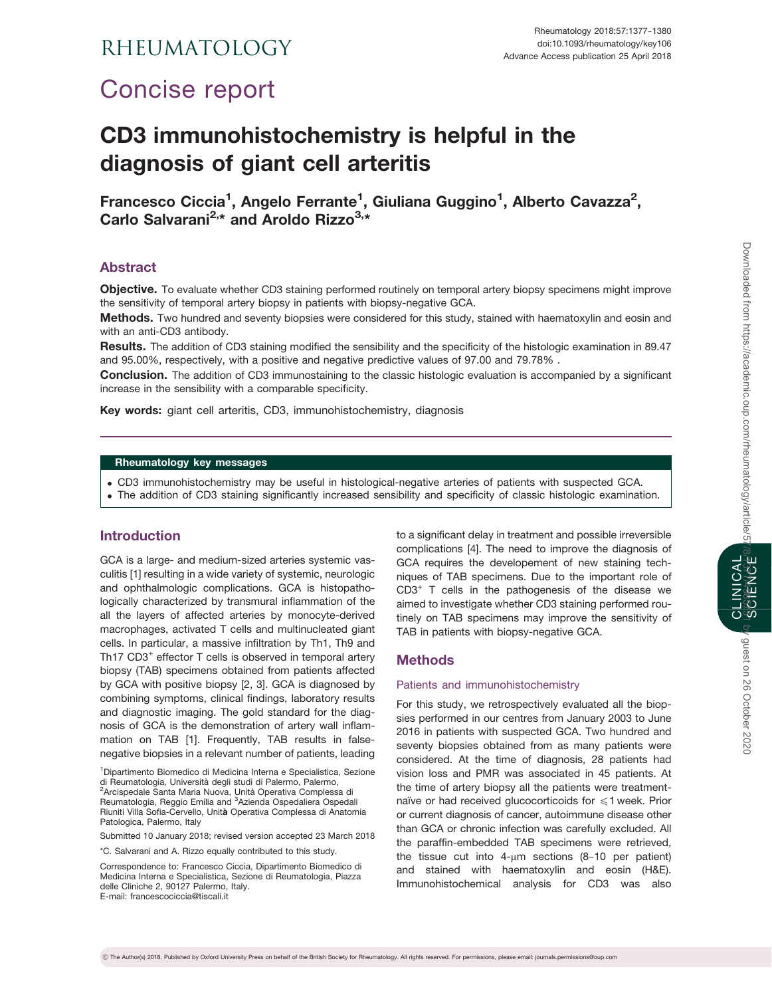## RHEUMATOLOGY

# Concise report

## CD3 immunohistochemistry is helpful in the diagnosis of giant cell arteritis

Francesco Ciccia<sup>1</sup>, Angelo Ferrante<sup>1</sup>, Giuliana Guggino<sup>1</sup>, Alberto Cavazza<sup>2</sup>, Carlo Salvarani<sup>2,\*</sup> and Aroldo Rizzo<sup>3,\*</sup>

### Abstract

Objective. To evaluate whether CD3 staining performed routinely on temporal artery biopsy specimens might improve the sensitivity of temporal artery biopsy in patients with biopsy-negative GCA.

Methods. Two hundred and seventy biopsies were considered for this study, stained with haematoxylin and eosin and with an anti-CD3 antibody.

Results. The addition of CD3 staining modified the sensibility and the specificity of the histologic examination in 89.47 and 95.00%, respectively, with a positive and negative predictive values of 97.00 and 79.78% .

**Conclusion.** The addition of CD3 immunostaining to the classic histologic evaluation is accompanied by a significant increase in the sensibility with a comparable specificity.

Key words: giant cell arteritis, CD3, immunohistochemistry, diagnosis

### Rheumatology key messages

- . CD3 immunohistochemistry may be useful in histological-negative arteries of patients with suspected GCA.
- . The addition of CD3 staining significantly increased sensibility and specificity of classic histologic examination.

#### Introduction

GCA is a large- and medium-sized arteries systemic vasculitis [\[1\]](#page-2-0) resulting in a wide variety of systemic, neurologic and ophthalmologic complications. GCA is histopathologically characterized by transmural inflammation of the all the layers of affected arteries by monocyte-derived macrophages, activated T cells and multinucleated giant cells. In particular, a massive infiltration by Th1, Th9 and Th17 CD3<sup>+</sup> effector T cells is observed in temporal artery biopsy (TAB) specimens obtained from patients affected by GCA with positive biopsy [[2](#page-3-0), [3](#page-3-0)]. GCA is diagnosed by combining symptoms, clinical findings, laboratory results and diagnostic imaging. The gold standard for the diagnosis of GCA is the demonstration of artery wall inflammation on TAB [[1](#page-2-0)]. Frequently, TAB results in falsenegative biopsies in a relevant number of patients, leading

1 Dipartimento Biomedico di Medicina Interna e Specialistica, Sezione di Reumatologia, Università degli studi di Palermo, Palermo, <sup>2</sup>Arcispedale Santa Maria Nuova, Unità Operativa Complessa di<br>Reumatologia, Reggio Emilia and <sup>3</sup>Azienda Ospedaliera Ospedali Riuniti Villa Sofia-Cervello, Unità Operativa Complessa di Anatomia Patologica, Palermo, Italy

Submitted 10 January 2018; revised version accepted 23 March 2018

\*C. Salvarani and A. Rizzo equally contributed to this study.

Correspondence to: Francesco Ciccia, Dipartimento Biomedico di Medicina Interna e Specialistica, Sezione di Reumatologia, Piazza delle Cliniche 2, 90127 Palermo, Italy. E-mail: francescociccia@tiscali.it

to a significant delay in treatment and possible irreversible complications [\[4\]](#page-3-0). The need to improve the diagnosis of GCA requires the developement of new staining techniques of TAB specimens. Due to the important role of CD3<sup>+</sup> T cells in the pathogenesis of the disease we aimed to investigate whether CD3 staining performed routinely on TAB specimens may improve the sensitivity of TAB in patients with biopsy-negative GCA.

#### Methods

#### Patients and immunohistochemistry

For this study, we retrospectively evaluated all the biopsies performed in our centres from January 2003 to June 2016 in patients with suspected GCA. Two hundred and seventy biopsies obtained from as many patients were considered. At the time of diagnosis, 28 patients had vision loss and PMR was associated in 45 patients. At the time of artery biopsy all the patients were treatmentnaïve or had received glucocorticoids for  $\leq 1$  week. Prior or current diagnosis of cancer, autoimmune disease other than GCA or chronic infection was carefully excluded. All the paraffin-embedded TAB specimens were retrieved, the tissue cut into  $4\text{-}\mu\text{m}$  sections (8-10 per patient) and stained with haematoxylin and eosin (H&E). Immunohistochemical analysis for CD3 was also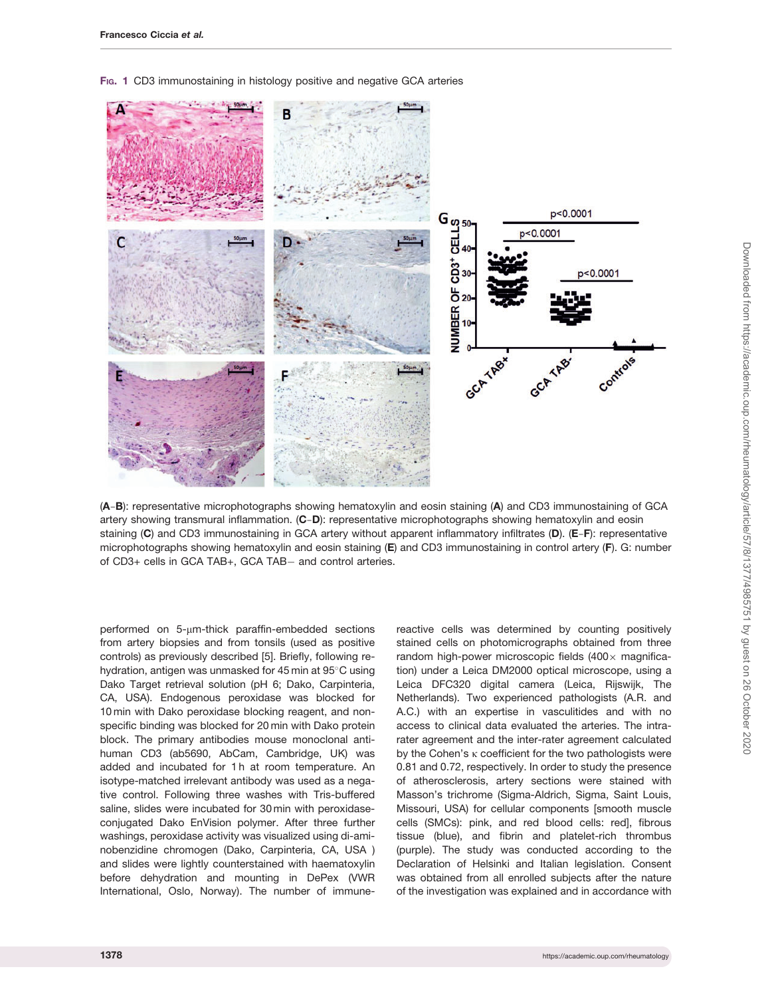<span id="page-1-0"></span>

F<sub>IG</sub>. 1 CD3 immunostaining in histology positive and negative GCA arteries

(A-B): representative microphotographs showing hematoxylin and eosin staining (A) and CD3 immunostaining of GCA artery showing transmural inflammation. (C-D): representative microphotographs showing hematoxylin and eosin staining (C) and CD3 immunostaining in GCA artery without apparent inflammatory infiltrates (D). (E-F): representative microphotographs showing hematoxylin and eosin staining (E) and CD3 immunostaining in control artery (F). G: number of CD3+ cells in GCA TAB+, GCA TAB- and control arteries.

performed on  $5\text{-}\mu$ m-thick paraffin-embedded sections from artery biopsies and from tonsils (used as positive controls) as previously described [[5\]](#page-3-0). Briefly, following rehydration, antigen was unmasked for 45 min at  $95^{\circ}$ C using Dako Target retrieval solution (pH 6; Dako, Carpinteria, CA, USA). Endogenous peroxidase was blocked for 10 min with Dako peroxidase blocking reagent, and nonspecific binding was blocked for 20 min with Dako protein block. The primary antibodies mouse monoclonal antihuman CD3 (ab5690, AbCam, Cambridge, UK) was added and incubated for 1 h at room temperature. An isotype-matched irrelevant antibody was used as a negative control. Following three washes with Tris-buffered saline, slides were incubated for 30 min with peroxidaseconjugated Dako EnVision polymer. After three further washings, peroxidase activity was visualized using di-aminobenzidine chromogen (Dako, Carpinteria, CA, USA ) and slides were lightly counterstained with haematoxylin before dehydration and mounting in DePex (VWR International, Oslo, Norway). The number of immunereactive cells was determined by counting positively stained cells on photomicrographs obtained from three random high-power microscopic fields  $(400 \times$  magnification) under a Leica DM2000 optical microscope, using a Leica DFC320 digital camera (Leica, Rijswijk, The Netherlands). Two experienced pathologists (A.R. and A.C.) with an expertise in vasculitides and with no access to clinical data evaluated the arteries. The intrarater agreement and the inter-rater agreement calculated by the Cohen's  $\kappa$  coefficient for the two pathologists were 0.81 and 0.72, respectively. In order to study the presence of atherosclerosis, artery sections were stained with Masson's trichrome (Sigma-Aldrich, Sigma, Saint Louis, Missouri, USA) for cellular components [smooth muscle cells (SMCs): pink, and red blood cells: red], fibrous tissue (blue), and fibrin and platelet-rich thrombus (purple). The study was conducted according to the Declaration of Helsinki and Italian legislation. Consent was obtained from all enrolled subjects after the nature of the investigation was explained and in accordance with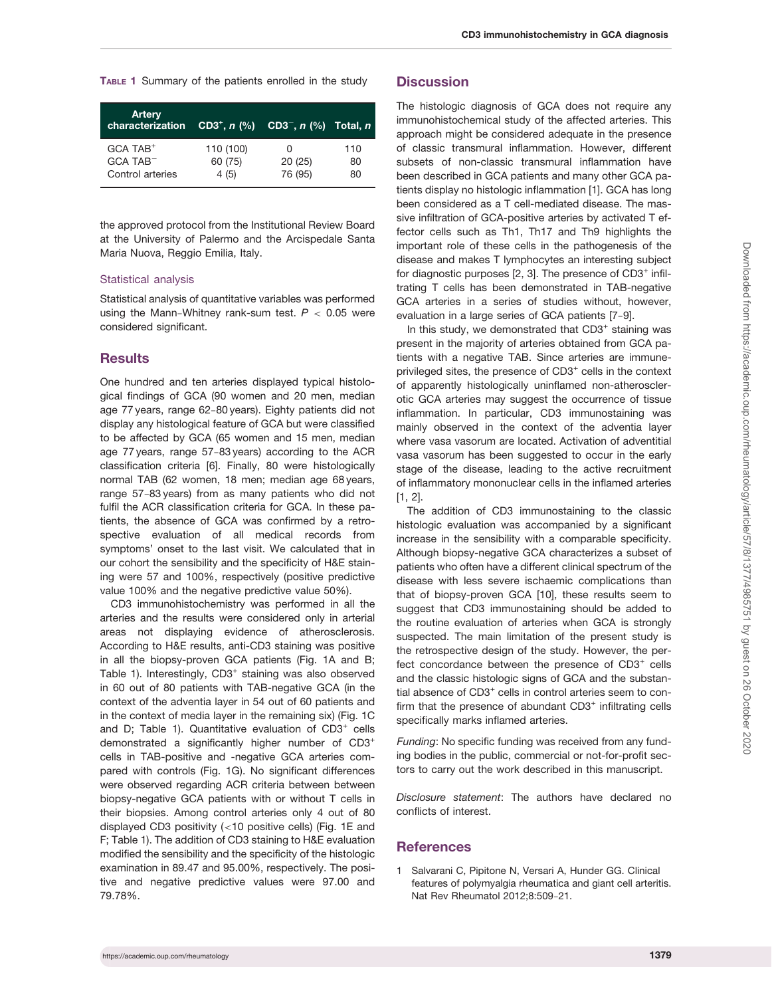<span id="page-2-0"></span>TABLE 1 Summary of the patients enrolled in the study

| <b>Artery</b><br>characterization |           | CD3 <sup>+</sup> , n $\left(\% \right)$ CD3 <sup>-</sup> , n $\left(\% \right)$ Total, n |     |
|-----------------------------------|-----------|------------------------------------------------------------------------------------------|-----|
| $GCA$ TAB <sup>+</sup>            | 110 (100) | 0                                                                                        | 110 |
| $GCA$ TAB $-$                     | 60 (75)   | 20(25)                                                                                   | 80  |
| Control arteries                  | 4(5)      | 76 (95)                                                                                  | 80  |

the approved protocol from the Institutional Review Board at the University of Palermo and the Arcispedale Santa Maria Nuova, Reggio Emilia, Italy.

#### Statistical analysis

Statistical analysis of quantitative variables was performed using the Mann-Whitney rank-sum test.  $P < 0.05$  were considered significant.

#### **Results**

One hundred and ten arteries displayed typical histological findings of GCA (90 women and 20 men, median age 77 years, range 62-80 years). Eighty patients did not display any histological feature of GCA but were classified to be affected by GCA (65 women and 15 men, median age 77 years, range 57-83 years) according to the ACR classification criteria [[6\]](#page-3-0). Finally, 80 were histologically normal TAB (62 women, 18 men; median age 68 years, range 57-83 years) from as many patients who did not fulfil the ACR classification criteria for GCA. In these patients, the absence of GCA was confirmed by a retrospective evaluation of all medical records from symptoms' onset to the last visit. We calculated that in our cohort the sensibility and the specificity of H&E staining were 57 and 100%, respectively (positive predictive value 100% and the negative predictive value 50%).

CD3 immunohistochemistry was performed in all the arteries and the results were considered only in arterial areas not displaying evidence of atherosclerosis. According to H&E results, anti-CD3 staining was positive in all the biopsy-proven GCA patients ([Fig. 1A and B;](#page-1-0) Table 1). Interestingly, CD3<sup>+</sup> staining was also observed in 60 out of 80 patients with TAB-negative GCA (in the context of the adventia layer in 54 out of 60 patients and in the context of media layer in the remaining six) [\(Fig. 1C](#page-1-0) [and D;](#page-1-0) Table 1). Quantitative evaluation of CD3<sup>+</sup> cells demonstrated a significantly higher number of CD3+ cells in TAB-positive and -negative GCA arteries compared with controls [\(Fig. 1G](#page-1-0)). No significant differences were observed regarding ACR criteria between between biopsy-negative GCA patients with or without T cells in their biopsies. Among control arteries only 4 out of 80 displayed CD3 positivity (<10 positive cells) [\(Fig. 1E and](#page-1-0) [F;](#page-1-0) Table 1). The addition of CD3 staining to H&E evaluation modified the sensibility and the specificity of the histologic examination in 89.47 and 95.00%, respectively. The positive and negative predictive values were 97.00 and 79.78%.

#### **Discussion**

The histologic diagnosis of GCA does not require any immunohistochemical study of the affected arteries. This approach might be considered adequate in the presence of classic transmural inflammation. However, different subsets of non-classic transmural inflammation have been described in GCA patients and many other GCA patients display no histologic inflammation [1]. GCA has long been considered as a T cell-mediated disease. The massive infiltration of GCA-positive arteries by activated T effector cells such as Th1, Th17 and Th9 highlights the important role of these cells in the pathogenesis of the disease and makes T lymphocytes an interesting subject for diagnostic purposes  $[2, 3]$  $[2, 3]$  $[2, 3]$ . The presence of CD3<sup>+</sup> infiltrating T cells has been demonstrated in TAB-negative GCA arteries in a series of studies without, however, evaluation in a large series of GCA patients [[7](#page-3-0)-[9](#page-3-0)].

In this study, we demonstrated that CD3<sup>+</sup> staining was present in the majority of arteries obtained from GCA patients with a negative TAB. Since arteries are immuneprivileged sites, the presence of CD3<sup>+</sup> cells in the context of apparently histologically uninflamed non-atherosclerotic GCA arteries may suggest the occurrence of tissue inflammation. In particular, CD3 immunostaining was mainly observed in the context of the adventia layer where vasa vasorum are located. Activation of adventitial vasa vasorum has been suggested to occur in the early stage of the disease, leading to the active recruitment of inflammatory mononuclear cells in the inflamed arteries [1, [2](#page-3-0)].

The addition of CD3 immunostaining to the classic histologic evaluation was accompanied by a significant increase in the sensibility with a comparable specificity. Although biopsy-negative GCA characterizes a subset of patients who often have a different clinical spectrum of the disease with less severe ischaemic complications than that of biopsy-proven GCA [\[10\]](#page-3-0), these results seem to suggest that CD3 immunostaining should be added to the routine evaluation of arteries when GCA is strongly suspected. The main limitation of the present study is the retrospective design of the study. However, the perfect concordance between the presence of CD3<sup>+</sup> cells and the classic histologic signs of GCA and the substantial absence of CD3<sup>+</sup> cells in control arteries seem to confirm that the presence of abundant  $CD3<sup>+</sup>$  infiltrating cells specifically marks inflamed arteries.

Funding: No specific funding was received from any funding bodies in the public, commercial or not-for-profit sectors to carry out the work described in this manuscript.

Disclosure statement: The authors have declared no conflicts of interest.

#### **References**

1 Salvarani C, Pipitone N, Versari A, Hunder GG. Clinical features of polymyalgia rheumatica and giant cell arteritis. Nat Rev Rheumatol 2012;8:509-21.